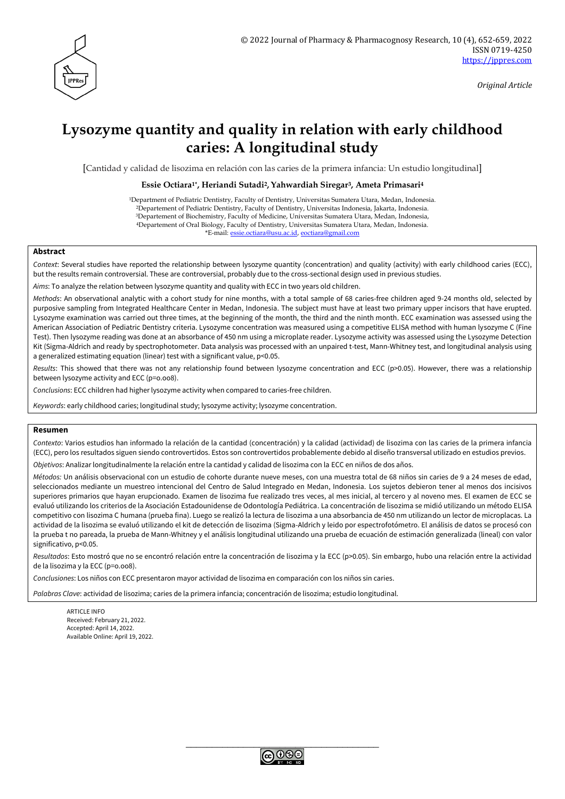

# **Lysozyme quantity and quality in relation with early childhood caries: A longitudinal study**

[Cantidad y calidad de lisozima en relación con las caries de la primera infancia: Un estudio longitudinal]

#### **Essie Octiara1\* , Heriandi Sutadi2, Yahwardiah Siregar3, Ameta Primasari<sup>4</sup>**

Department of Pediatric Dentistry, Faculty of Dentistry, Universitas Sumatera Utara, Medan, Indonesia. Departement of Pediatric Dentistry, Faculty of Dentistry, Universitas Indonesia, Jakarta, Indonesia. Departement of Biochemistry, Faculty of Medicine, Universitas Sumatera Utara, Medan, Indonesia, Departement of Oral Biology, Faculty of Dentistry, Universitas Sumatera Utara, Medan, Indonesia. \*E-mail: [essie.octiara@usu.ac.id,](mailto:essie.octiara@usu.ac.id) [eoctiara@gmail.com](mailto:eoctiara@gmail.com)

#### **Abstract**

*Context*: Several studies have reported the relationship between lysozyme quantity (concentration) and quality (activity) with early childhood caries (ECC), but the results remain controversial. These are controversial, probably due to the cross-sectional design used in previous studies.

*Aims*: To analyze the relation between lysozyme quantity and quality with ECC in two years old children.

*Methods*: An observational analytic with a cohort study for nine months, with a total sample of 68 caries-free children aged 9-24 months old, selected by purposive sampling from Integrated Healthcare Center in Medan, Indonesia. The subject must have at least two primary upper incisors that have erupted. Lysozyme examination was carried out three times, at the beginning of the month, the third and the ninth month. ECC examination was assessed using the American Association of Pediatric Dentistry criteria. Lysozyme concentration was measured using a competitive ELISA method with human lysozyme C (Fine Test). Then lysozyme reading was done at an absorbance of 450 nm using a microplate reader. Lysozyme activity was assessed using the Lysozyme Detection Kit (Sigma-Aldrich and ready by spectrophotometer. Data analysis was processed with an unpaired t-test, Mann-Whitney test, and longitudinal analysis using a generalized estimating equation (linear) test with a significant value, p<0.05.

*Results*: This showed that there was not any relationship found between lysozyme concentration and ECC (p>0.05). However, there was a relationship between lysozyme activity and ECC (p=o.oo8).

*Conclusions*: ECC children had higher lysozyme activity when compared to caries-free children.

*Keywords*: early childhood caries; longitudinal study; lysozyme activity; lysozyme concentration.

#### **Resumen**

*Contexto*: Varios estudios han informado la relación de la cantidad (concentración) y la calidad (actividad) de lisozima con las caries de la primera infancia (ECC), pero los resultados siguen siendo controvertidos. Estos son controvertidos probablemente debido al diseño transversal utilizado en estudios previos.

*Objetivos*: Analizar longitudinalmente la relación entre la cantidad y calidad de lisozima con la ECC en niños de dos años.

*Métodos:* Un análisis observacional con un estudio de cohorte durante nueve meses, con una muestra total de 68 niños sin caries de 9 a 24 meses de edad, seleccionados mediante un muestreo intencional del Centro de Salud Integrado en Medan, Indonesia. Los sujetos debieron tener al menos dos incisivos superiores primarios que hayan erupcionado. Examen de lisozima fue realizado tres veces, al mes inicial, al tercero y al noveno mes. El examen de ECC se evaluó utilizando los criterios de la Asociación Estadounidense de Odontología Pediátrica. La concentración de lisozima se midió utilizando un método ELISA competitivo con lisozima C humana (prueba fina). Luego se realizó la lectura de lisozima a una absorbancia de 450 nm utilizando un lector de microplacas. La actividad de la lisozima se evaluó utilizando el kit de detección de lisozima (Sigma-Aldrich y leido por espectrofotómetro. El análisis de datos se procesó con la prueba t no pareada, la prueba de Mann-Whitney y el análisis longitudinal utilizando una prueba de ecuación de estimación generalizada (lineal) con valor significativo, p<0.05.

*Resultados*: Esto mostró que no se encontró relación entre la concentración de lisozima y la ECC (p>0.05). Sin embargo, hubo una relación entre la actividad de la lisozima y la ECC (p=o.oo8).

*Conclusiones*: Los niños con ECC presentaron mayor actividad de lisozima en comparación con los niños sin caries.

*Palabras Clave*: actividad de lisozima; caries de la primera infancia; concentración de lisozima; estudio longitudinal.

ARTICLE INFO Received: February 21, 2022. Accepted: April 14, 2022. Available Online: April 19, 2022.

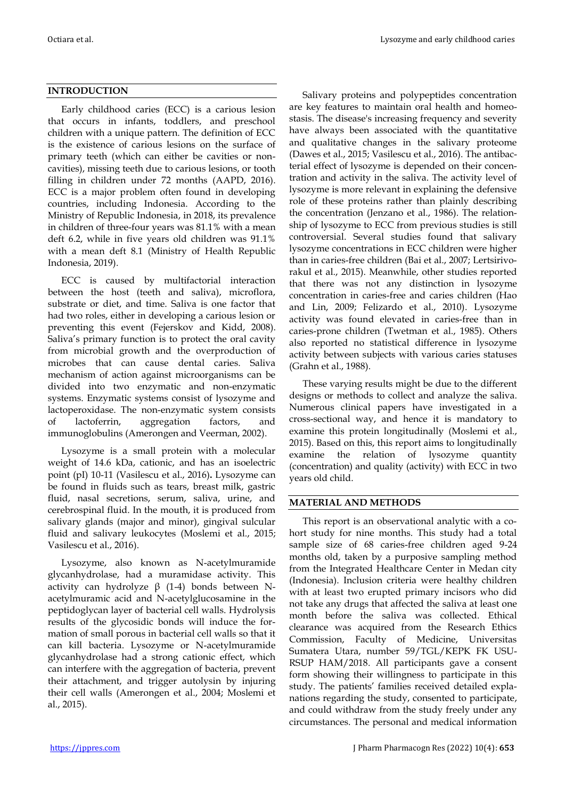### **INTRODUCTION**

Early childhood caries (ECC) is a carious lesion that occurs in infants, toddlers, and preschool children with a unique pattern. The definition of ECC is the existence of carious lesions on the surface of primary teeth (which can either be cavities or noncavities), missing teeth due to carious lesions, or tooth filling in children under 72 months (AAPD, 2016). ECC is a major problem often found in developing countries, including Indonesia. According to the Ministry of Republic Indonesia, in 2018, its prevalence in children of three-four years was 81.1% with a mean deft 6.2, while in five years old children was 91.1% with a mean deft 8.1 (Ministry of Health Republic Indonesia, 2019).

ECC is caused by multifactorial interaction between the host (teeth and saliva), microflora, substrate or diet, and time. Saliva is one factor that had two roles, either in developing a carious lesion or preventing this event (Fejerskov and Kidd, 2008). Saliva's primary function is to protect the oral cavity from microbial growth and the overproduction of microbes that can cause dental caries. Saliva mechanism of action against microorganisms can be divided into two enzymatic and non-enzymatic systems. Enzymatic systems consist of lysozyme and lactoperoxidase. The non-enzymatic system consists of lactoferrin, aggregation factors, and immunoglobulins (Amerongen and Veerman, 2002).

Lysozyme is a small protein with a molecular weight of 14.6 kDa, cationic, and has an isoelectric point (pI) 10-11 (Vasilescu et al., 2016)**.** Lysozyme can be found in fluids such as tears, breast milk, gastric fluid, nasal secretions, serum, saliva, urine, and cerebrospinal fluid. In the mouth, it is produced from salivary glands (major and minor), gingival sulcular fluid and salivary leukocytes (Moslemi et al., 2015; Vasilescu et al., 2016).

Lysozyme, also known as N-acetylmuramide glycanhydrolase, had a muramidase activity. This activity can hydrolyze  $β$  (1-4) bonds between Nacetylmuramic acid and N-acetylglucosamine in the peptidoglycan layer of bacterial cell walls. Hydrolysis results of the glycosidic bonds will induce the formation of small porous in bacterial cell walls so that it can kill bacteria. Lysozyme or N-acetylmuramide glycanhydrolase had a strong cationic effect, which can interfere with the aggregation of bacteria, prevent their attachment, and trigger autolysin by injuring their cell walls (Amerongen et al., 2004; Moslemi et al., 2015).

Salivary proteins and polypeptides concentration are key features to maintain oral health and homeostasis. The disease's increasing frequency and severity have always been associated with the quantitative and qualitative changes in the salivary proteome (Dawes et al., 2015; Vasilescu et al., 2016). The antibacterial effect of lysozyme is depended on their concentration and activity in the saliva. The activity level of lysozyme is more relevant in explaining the defensive role of these proteins rather than plainly describing the concentration (Jenzano et al., 1986). The relationship of lysozyme to ECC from previous studies is still controversial. Several studies found that salivary lysozyme concentrations in ECC children were higher than in caries-free children (Bai et al., 2007; Lertsirivorakul et al., 2015). Meanwhile, other studies reported that there was not any distinction in lysozyme concentration in caries-free and caries children (Hao and Lin, 2009; Felizardo et al., 2010). Lysozyme activity was found elevated in caries-free than in caries-prone children (Twetman et al., 1985). Others also reported no statistical difference in lysozyme activity between subjects with various caries statuses (Grahn et al., 1988).

These varying results might be due to the different designs or methods to collect and analyze the saliva. Numerous clinical papers have investigated in a cross-sectional way, and hence it is mandatory to examine this protein longitudinally (Moslemi et al., 2015). Based on this, this report aims to longitudinally examine the relation of lysozyme quantity (concentration) and quality (activity) with ECC in two years old child.

#### **MATERIAL AND METHODS**

This report is an observational analytic with a cohort study for nine months. This study had a total sample size of 68 caries-free children aged 9-24 months old, taken by a purposive sampling method from the Integrated Healthcare Center in Medan city (Indonesia). Inclusion criteria were healthy children with at least two erupted primary incisors who did not take any drugs that affected the saliva at least one month before the saliva was collected. Ethical clearance was acquired from the Research Ethics Commission, Faculty of Medicine, Universitas Sumatera Utara, number 59/TGL/KEPK FK USU-RSUP HAM/2018. All participants gave a consent form showing their willingness to participate in this study. The patients' families received detailed explanations regarding the study, consented to participate, and could withdraw from the study freely under any circumstances. The personal and medical information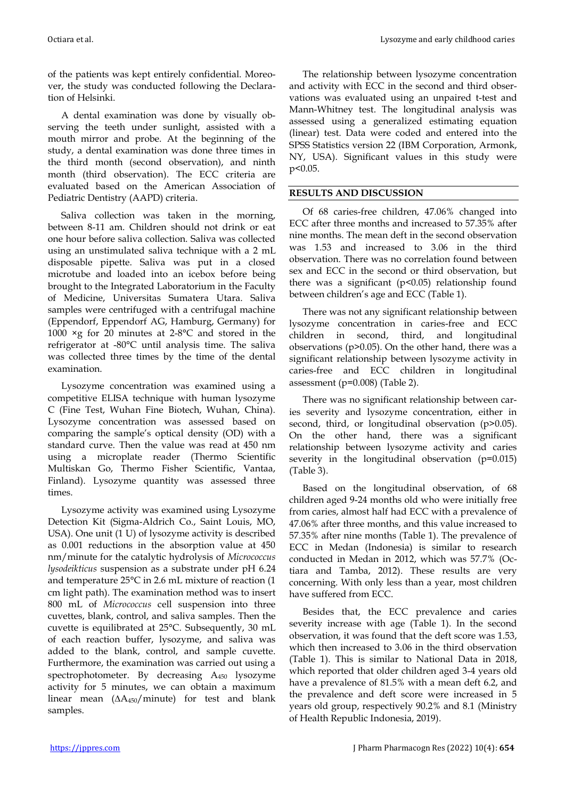of the patients was kept entirely confidential. Moreover, the study was conducted following the Declaration of Helsinki.

A dental examination was done by visually observing the teeth under sunlight, assisted with a mouth mirror and probe. At the beginning of the study, a dental examination was done three times in the third month (second observation), and ninth month (third observation). The ECC criteria are evaluated based on the American Association of Pediatric Dentistry (AAPD) criteria.

Saliva collection was taken in the morning, between 8-11 am. Children should not drink or eat one hour before saliva collection. Saliva was collected using an unstimulated saliva technique with a 2 mL disposable pipette. Saliva was put in a closed microtube and loaded into an icebox before being brought to the Integrated Laboratorium in the Faculty of Medicine, Universitas Sumatera Utara. Saliva samples were centrifuged with a centrifugal machine (Eppendorf, Eppendorf AG, Hamburg, Germany) for 1000 ×g for 20 minutes at 2-8°C and stored in the refrigerator at -80°C until analysis time. The saliva was collected three times by the time of the dental examination.

Lysozyme concentration was examined using a competitive ELISA technique with human lysozyme C (Fine Test, Wuhan Fine Biotech, Wuhan, China). Lysozyme concentration was assessed based on comparing the sample's optical density (OD) with a standard curve. Then the value was read at 450 nm using a microplate reader (Thermo Scientific Multiskan Go, Thermo Fisher Scientific, Vantaa, Finland). Lysozyme quantity was assessed three times.

Lysozyme activity was examined using Lysozyme Detection Kit (Sigma-Aldrich Co., Saint Louis, MO, USA). One unit (1 U) of lysozyme activity is described as 0.001 reductions in the absorption value at 450 nm/minute for the catalytic hydrolysis of *Micrococcus lysodeikticus* suspension as a substrate under pH 6.24 and temperature 25°C in 2.6 mL mixture of reaction (1 cm light path). The examination method was to insert 800 mL of *Micrococcus* cell suspension into three cuvettes, blank, control, and saliva samples. Then the cuvette is equilibrated at 25°C. Subsequently, 30 mL of each reaction buffer, lysozyme, and saliva was added to the blank, control, and sample cuvette. Furthermore, the examination was carried out using a spectrophotometer. By decreasing A<sup>450</sup> lysozyme activity for 5 minutes, we can obtain a maximum linear mean (∆A450/minute) for test and blank samples.

The relationship between lysozyme concentration and activity with ECC in the second and third observations was evaluated using an unpaired t-test and Mann-Whitney test. The longitudinal analysis was assessed using a generalized estimating equation (linear) test. Data were coded and entered into the SPSS Statistics version 22 (IBM Corporation, Armonk, NY, USA). Significant values in this study were p<0.05.

## **RESULTS AND DISCUSSION**

Of 68 caries-free children, 47.06% changed into ECC after three months and increased to 57.35% after nine months. The mean deft in the second observation was 1.53 and increased to 3.06 in the third observation. There was no correlation found between sex and ECC in the second or third observation, but there was a significant  $(p<0.05)$  relationship found between children's age and ECC (Table 1).

There was not any significant relationship between lysozyme concentration in caries-free and ECC children in second, third, and longitudinal observations (p>0.05). On the other hand, there was a significant relationship between lysozyme activity in caries-free and ECC children in longitudinal assessment (p=0.008) (Table 2).

There was no significant relationship between caries severity and lysozyme concentration, either in second, third, or longitudinal observation (p>0.05). On the other hand, there was a significant relationship between lysozyme activity and caries severity in the longitudinal observation (p=0.015) (Table 3).

Based on the longitudinal observation, of 68 children aged 9-24 months old who were initially free from caries, almost half had ECC with a prevalence of 47.06% after three months, and this value increased to 57.35% after nine months (Table 1). The prevalence of ECC in Medan (Indonesia) is similar to research conducted in Medan in 2012, which was 57.7% (Octiara and Tamba, 2012). These results are very concerning. With only less than a year, most children have suffered from ECC.

Besides that, the ECC prevalence and caries severity increase with age (Table 1). In the second observation, it was found that the deft score was 1.53, which then increased to 3.06 in the third observation (Table 1). This is similar to National Data in 2018, which reported that older children aged 3-4 years old have a prevalence of 81.5% with a mean deft 6.2, and the prevalence and deft score were increased in 5 years old group, respectively 90.2% and 8.1 (Ministry of Health Republic Indonesia, 2019).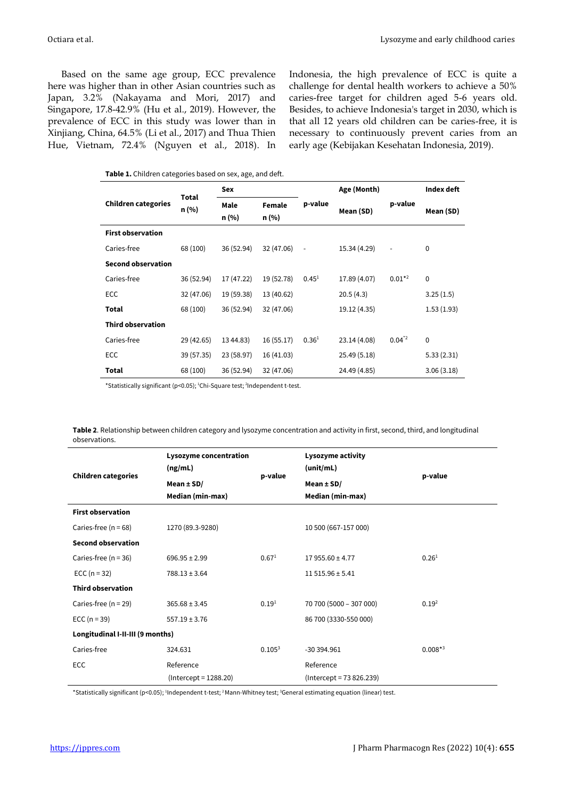Based on the same age group, ECC prevalence here was higher than in other Asian countries such as Japan, 3.2% (Nakayama and Mori, 2017) and Singapore, 17.8-42.9% (Hu et al., 2019). However, the prevalence of ECC in this study was lower than in Xinjiang, China, 64.5% (Li et al., 2017) and Thua Thien Hue, Vietnam, 72.4% (Nguyen et al., 2018). In Indonesia, the high prevalence of ECC is quite a challenge for dental health workers to achieve a 50% caries-free target for children aged 5-6 years old. Besides, to achieve Indonesia's target in 2030, which is that all 12 years old children can be caries-free, it is necessary to continuously prevent caries from an early age (Kebijakan Kesehatan Indonesia, 2019).

|  | Table 1. Children categories based on sex, age, and deft. |  |  |  |
|--|-----------------------------------------------------------|--|--|--|
|--|-----------------------------------------------------------|--|--|--|

|                            | Total      | Sex           |                 |                          | Age (Month)  |                          | Index deft  |  |
|----------------------------|------------|---------------|-----------------|--------------------------|--------------|--------------------------|-------------|--|
| <b>Children categories</b> | n (%)      | Male<br>n (%) | Female<br>n (%) | p-value                  | Mean (SD)    | p-value                  | Mean (SD)   |  |
| <b>First observation</b>   |            |               |                 |                          |              |                          |             |  |
| Caries-free                | 68 (100)   | 36 (52.94)    | 32 (47.06)      | $\overline{\phantom{a}}$ | 15.34 (4.29) | $\overline{\phantom{m}}$ | $\mathbf 0$ |  |
| <b>Second observation</b>  |            |               |                 |                          |              |                          |             |  |
| Caries-free                | 36 (52.94) | 17 (47.22)    | 19 (52.78)      | $0.45^{1}$               | 17.89 (4.07) | $0.01*^2$                | $\mathbf 0$ |  |
| <b>ECC</b>                 | 32 (47.06) | 19 (59.38)    | 13 (40.62)      |                          | 20.5(4.3)    |                          | 3.25(1.5)   |  |
| Total                      | 68 (100)   | 36 (52.94)    | 32 (47.06)      |                          | 19.12 (4.35) |                          | 1.53(1.93)  |  |
| <b>Third observation</b>   |            |               |                 |                          |              |                          |             |  |
| Caries-free                | 29 (42.65) | 13 44.83)     | 16(55.17)       | 0.36 <sup>1</sup>        | 23.14 (4.08) | $0.04^{2}$               | $\Omega$    |  |
| <b>ECC</b>                 | 39 (57.35) | 23 (58.97)    | 16(41.03)       |                          | 25.49 (5.18) |                          | 5.33(2.31)  |  |
| Total                      | 68 (100)   | 36 (52.94)    | 32 (47.06)      |                          | 24.49 (4.85) |                          | 3.06(3.18)  |  |

\*Statistically significant (p<0.05); <sup>1</sup>Chi-Square test; <sup>2</sup>Independent t-test.

**Table 2**. Relationship between children category and lysozyme concentration and activity in first, second, third, and longitudinal observations.

| <b>Children categories</b>       | Lysozyme concentration<br>(ng/mL) | p-value           | Lysozyme activity<br>(unit/mL) | p-value           |  |  |
|----------------------------------|-----------------------------------|-------------------|--------------------------------|-------------------|--|--|
|                                  | Mean $\pm$ SD/                    |                   | Mean $\pm$ SD/                 |                   |  |  |
|                                  | Median (min-max)                  |                   | Median (min-max)               |                   |  |  |
| <b>First observation</b>         |                                   |                   |                                |                   |  |  |
| Caries-free $(n = 68)$           | 1270 (89.3-9280)                  |                   | 10 500 (667-157 000)           |                   |  |  |
| <b>Second observation</b>        |                                   |                   |                                |                   |  |  |
| Caries-free $(n = 36)$           | $696.95 \pm 2.99$                 | 0.67 <sup>1</sup> | $17955.60 \pm 4.77$            | 0.26 <sup>1</sup> |  |  |
| ECC $(n = 32)$                   | $788.13 \pm 3.64$                 |                   | $11515.96 \pm 5.41$            |                   |  |  |
| <b>Third observation</b>         |                                   |                   |                                |                   |  |  |
| Caries-free $(n = 29)$           | $365.68 \pm 3.45$                 | $0.19^{1}$        | 70 700 (5000 - 307 000)        | 0.19 <sup>2</sup> |  |  |
| ECC $(n = 39)$                   | $557.19 \pm 3.76$                 |                   | 86 700 (3330-550 000)          |                   |  |  |
| Longitudinal I-II-III (9 months) |                                   |                   |                                |                   |  |  |
| Caries-free                      | 324.631                           | $0.105^{3}$       | -30 394.961                    | $0.008**3$        |  |  |
| <b>ECC</b>                       | Reference                         |                   | Reference                      |                   |  |  |
|                                  | $(Intercept = 1288.20)$           |                   | $(Intercept = 73826.239)$      |                   |  |  |

\*Statistically significant (p<0.05); <sup>1</sup>Independent t-test; <sup>2</sup>Mann-Whitney test; <sup>3</sup>General estimating equation (linear) test.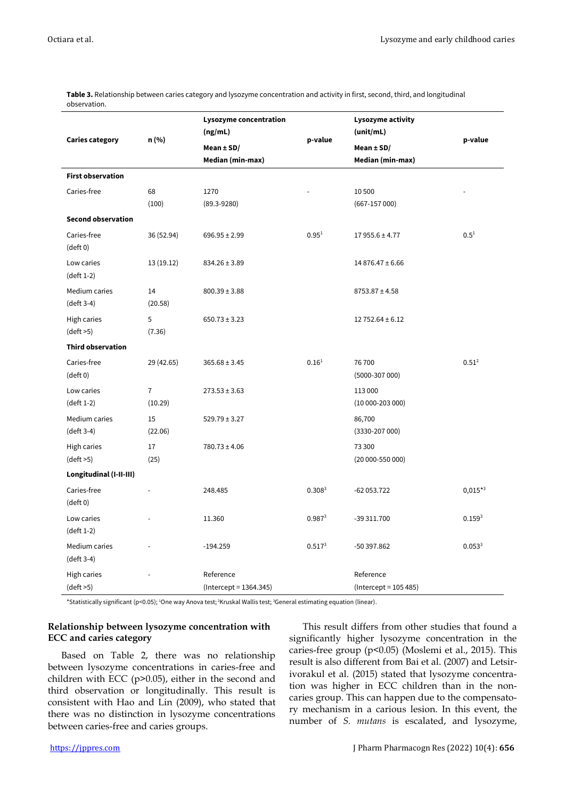| <b>Caries category</b>             | n (%)                     | Lysozyme concentration<br>(ng/mL) |                    | Lysozyme activity<br>(unit/mL) |                   |
|------------------------------------|---------------------------|-----------------------------------|--------------------|--------------------------------|-------------------|
|                                    |                           | p-value<br>Mean $\pm$ SD/         |                    | Mean $\pm$ SD/                 | p-value           |
|                                    |                           | Median (min-max)                  |                    | Median (min-max)               |                   |
| <b>First observation</b>           |                           |                                   |                    |                                |                   |
| Caries-free                        | 68                        | 1270                              |                    | 10 500                         |                   |
|                                    | (100)                     | $(89.3 - 9280)$                   |                    | $(667-157000)$                 |                   |
| <b>Second observation</b>          |                           |                                   |                    |                                |                   |
| Caries-free<br>$(\text{deft 0})$   | 36 (52.94)                | $696.95 \pm 2.99$                 | 0.95 <sup>1</sup>  | $17955.6 \pm 4.77$             | $0.5^{1}$         |
| Low caries<br>(deft 1-2)           | 13 (19.12)                | $834.26 \pm 3.89$                 |                    | $14876.47 \pm 6.66$            |                   |
| Medium caries<br>(deft 3-4)        | 14<br>(20.58)             | $800.39 \pm 3.88$                 |                    | $8753.87 \pm 4.58$             |                   |
| High caries<br>(dett > 5)          | 5<br>(7.36)               | $650.73 \pm 3.23$                 |                    | $12752.64 \pm 6.12$            |                   |
| <b>Third observation</b>           |                           |                                   |                    |                                |                   |
| Caries-free<br>$(\text{deft 0})$   | 29 (42.65)                | $365.68 \pm 3.45$                 | 0.16 <sup>1</sup>  | 76700<br>$(5000-307000)$       | 0.51 <sup>2</sup> |
| Low caries<br>$(\text{deft 1-2})$  | $\overline{7}$<br>(10.29) | $273.53 \pm 3.63$                 |                    | 113 000<br>$(10000 - 20300)$   |                   |
| Medium caries<br>(deft 3-4)        | 15<br>(22.06)             | $529.79 \pm 3.27$                 |                    | 86,700<br>(3330-207 000)       |                   |
| High caries<br>$(\text{deft} > 5)$ | 17<br>(25)                | $780.73 \pm 4.06$                 |                    | 73 300<br>$(20000 - 55000)$    |                   |
| Longitudinal (I-II-III)            |                           |                                   |                    |                                |                   |
| Caries-free<br>$(\text{deft 0})$   | $\overline{a}$            | 248.485                           | 0.308 <sup>3</sup> | -62 053.722                    | $0,015*3$         |
| Low caries<br>$(\text{deft 1-2})$  |                           | 11.360                            | $0.987^{3}$        | -39 311.700                    | $0.159^{3}$       |
| Medium caries<br>(deft 3-4)        |                           | $-194.259$                        | $0.517^{3}$        | -50 397.862                    | $0.053^{3}$       |
| <b>High caries</b>                 |                           | Reference                         |                    | Reference                      |                   |
| (dett > 5)                         |                           | (Intercept = 1364.345)            |                    | $(Intercept = 105 485)$        |                   |

**Table 3.** Relationship between caries category and lysozyme concentration and activity in first, second, third, and longitudinal observation.

\*Statistically significant (p<0.05); <sup>1</sup>One way Anova test; <sup>2</sup>Kruskal Wallis test; <sup>3</sup>General estimating equation (linear).

# **Relationship between lysozyme concentration with ECC and caries category**

Based on Table 2, there was no relationship between lysozyme concentrations in caries-free and children with ECC (p>0.05), either in the second and third observation or longitudinally. This result is consistent with Hao and Lin (2009), who stated that there was no distinction in lysozyme concentrations between caries-free and caries groups.

This result differs from other studies that found a significantly higher lysozyme concentration in the caries-free group (p<0.05) (Moslemi et al., 2015). This result is also different from Bai et al. (2007) and Letsirivorakul et al. (2015) stated that lysozyme concentration was higher in ECC children than in the noncaries group. This can happen due to the compensatory mechanism in a carious lesion. In this event, the number of *S. mutans* is escalated, and lysozyme,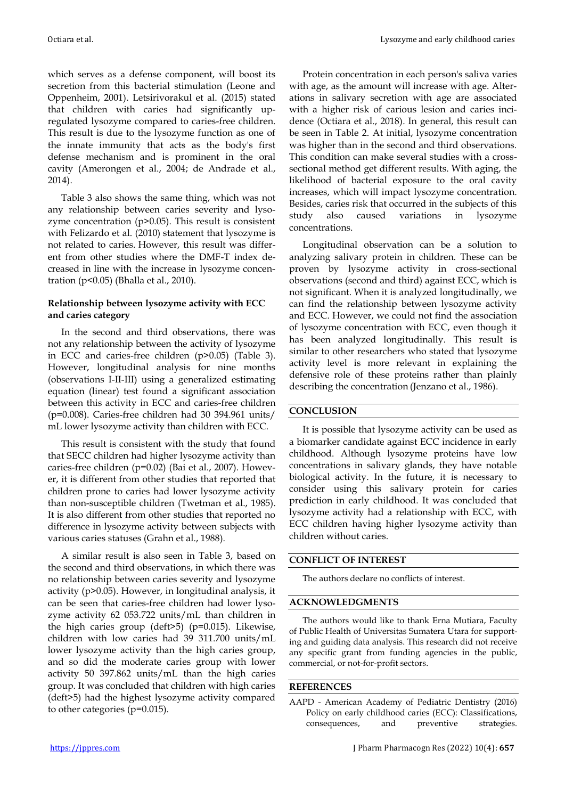Octiara et al. Lysozyme and early childhood caries

which serves as a defense component, will boost its secretion from this bacterial stimulation (Leone and Oppenheim, 2001). Letsirivorakul et al. (2015) stated that children with caries had significantly upregulated lysozyme compared to caries-free children. This result is due to the lysozyme function as one of the innate immunity that acts as the body's first defense mechanism and is prominent in the oral cavity (Amerongen et al., 2004; de Andrade et al., 2014).

Table 3 also shows the same thing, which was not any relationship between caries severity and lysozyme concentration (p>0.05). This result is consistent with Felizardo et al. (2010) statement that lysozyme is not related to caries. However, this result was different from other studies where the DMF-T index decreased in line with the increase in lysozyme concentration (p<0.05) (Bhalla et al., 2010).

# **Relationship between lysozyme activity with ECC and caries category**

In the second and third observations, there was not any relationship between the activity of lysozyme in ECC and caries-free children (p>0.05) (Table 3). However, longitudinal analysis for nine months (observations I-II-III) using a generalized estimating equation (linear) test found a significant association between this activity in ECC and caries-free children (p=0.008). Caries-free children had 30 394.961 units/ mL lower lysozyme activity than children with ECC.

This result is consistent with the study that found that SECC children had higher lysozyme activity than caries-free children (p=0.02) (Bai et al., 2007). However, it is different from other studies that reported that children prone to caries had lower lysozyme activity than non-susceptible children (Twetman et al., 1985). It is also different from other studies that reported no difference in lysozyme activity between subjects with various caries statuses (Grahn et al., 1988).

A similar result is also seen in Table 3, based on the second and third observations, in which there was no relationship between caries severity and lysozyme activity (p>0.05). However, in longitudinal analysis, it can be seen that caries-free children had lower lysozyme activity 62 053.722 units/mL than children in the high caries group (deft>5) (p=0.015). Likewise, children with low caries had 39 311.700 units/mL lower lysozyme activity than the high caries group, and so did the moderate caries group with lower activity 50 397.862 units/mL than the high caries group. It was concluded that children with high caries (deft>5) had the highest lysozyme activity compared to other categories (p=0.015).

Protein concentration in each person's saliva varies with age, as the amount will increase with age. Alterations in salivary secretion with age are associated with a higher risk of carious lesion and caries incidence (Octiara et al., 2018). In general, this result can be seen in Table 2. At initial, lysozyme concentration was higher than in the second and third observations. This condition can make several studies with a crosssectional method get different results. With aging, the likelihood of bacterial exposure to the oral cavity increases, which will impact lysozyme concentration. Besides, caries risk that occurred in the subjects of this study also caused variations in lysozyme concentrations.

Longitudinal observation can be a solution to analyzing salivary protein in children. These can be proven by lysozyme activity in cross-sectional observations (second and third) against ECC, which is not significant. When it is analyzed longitudinally, we can find the relationship between lysozyme activity and ECC. However, we could not find the association of lysozyme concentration with ECC, even though it has been analyzed longitudinally. This result is similar to other researchers who stated that lysozyme activity level is more relevant in explaining the defensive role of these proteins rather than plainly describing the concentration (Jenzano et al., 1986).

# **CONCLUSION**

It is possible that lysozyme activity can be used as a biomarker candidate against ECC incidence in early childhood. Although lysozyme proteins have low concentrations in salivary glands, they have notable biological activity. In the future, it is necessary to consider using this salivary protein for caries prediction in early childhood. It was concluded that lysozyme activity had a relationship with ECC, with ECC children having higher lysozyme activity than children without caries.

### **CONFLICT OF INTEREST**

The authors declare no conflicts of interest.

### **ACKNOWLEDGMENTS**

The authors would like to thank Erna Mutiara, Faculty of Public Health of Universitas Sumatera Utara for supporting and guiding data analysis. This research did not receive any specific grant from funding agencies in the public, commercial, or not-for-profit sectors.

### **REFERENCES**

AAPD - American Academy of Pediatric Dentistry (2016) Policy on early childhood caries (ECC): Classifications, consequences, and preventive strategies.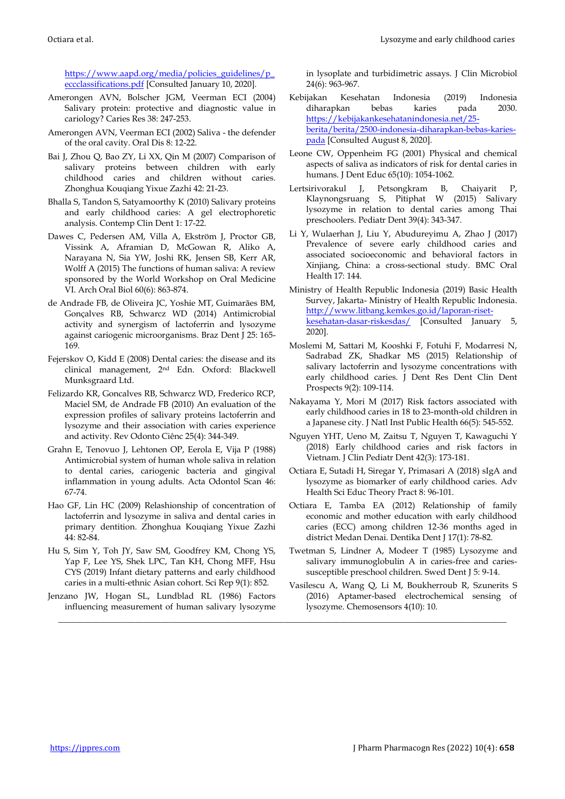[https://www.aapd.org/media/policies\\_guidelines/p\\_](https://www.aapd.org/media/policies_guidelines/p_eccclassifications.pdf) [eccclassifications.pdf](https://www.aapd.org/media/policies_guidelines/p_eccclassifications.pdf) [Consulted January 10, 2020].

- Amerongen AVN, Bolscher JGM, Veerman ECI (2004) Salivary protein: protective and diagnostic value in cariology? Caries Res 38: 247-253.
- Amerongen AVN, Veerman ECI (2002) Saliva the defender of the oral cavity. Oral Dis 8: 12-22.
- Bai J, Zhou Q, Bao ZY, Li XX, Qin M (2007) Comparison of salivary proteins between children with early childhood caries and children without caries. Zhonghua Kouqiang Yixue Zazhi 42: 21-23.
- Bhalla S, Tandon S, Satyamoorthy K (2010) Salivary proteins and early childhood caries: A gel electrophoretic analysis. Contemp Clin Dent 1: 17-22.
- Dawes C, Pedersen AM, Villa A, Ekström J, Proctor GB, Vissink A, Aframian D, McGowan R, Aliko A, Narayana N, Sia YW, Joshi RK, Jensen SB, Kerr AR, Wolff A (2015) The functions of human saliva: A review sponsored by the World Workshop on Oral Medicine VI. Arch Oral Biol 60(6): 863-874.
- de Andrade FB, de Oliveira JC, Yoshie MT, Guimarães BM, Gonçalves RB, Schwarcz WD (2014) Antimicrobial activity and synergism of lactoferrin and lysozyme against cariogenic microorganisms. Braz Dent J 25: 165- 169.
- Fejerskov O, Kidd E (2008) Dental caries: the disease and its clinical management, 2nd Edn. Oxford: Blackwell Munksgraard Ltd.
- Felizardo KR, Goncalves RB, Schwarcz WD, Frederico RCP, Maciel SM, de Andrade FB (2010) An evaluation of the expression profiles of salivary proteins lactoferrin and lysozyme and their association with caries experience and activity. Rev Odonto Ciênc 25(4): 344-349.
- Grahn E, Tenovuo J, Lehtonen OP, Eerola E, Vija P (1988) Antimicrobial system of human whole saliva in relation to dental caries, cariogenic bacteria and gingival inflammation in young adults. Acta Odontol Scan 46: 67-74.
- Hao GF, Lin HC (2009) Relashionship of concentration of lactoferrin and lysozyme in saliva and dental caries in primary dentition. Zhonghua Kouqiang Yixue Zazhi 44: 82-84.
- Hu S, Sim Y, Toh JY, Saw SM, Goodfrey KM, Chong YS, Yap F, Lee YS, Shek LPC, Tan KH, Chong MFF, Hsu CYS (2019) Infant dietary patterns and early childhood caries in a multi-ethnic Asian cohort. Sci Rep 9(1): 852.
- Jenzano JW, Hogan SL, Lundblad RL (1986) Factors influencing measurement of human salivary lysozyme

\_\_\_\_\_\_\_\_\_\_\_\_\_\_\_\_\_\_\_\_\_\_\_\_\_\_\_\_\_\_\_\_\_\_\_\_\_\_\_\_\_\_\_\_\_\_\_\_\_\_\_\_\_\_\_\_\_\_\_\_\_\_\_\_\_\_\_\_\_\_\_\_\_\_\_\_\_\_\_\_\_\_\_\_\_\_\_\_\_\_\_\_\_\_\_\_\_\_\_\_\_\_\_\_\_

in lysoplate and turbidimetric assays. J Clin Microbiol 24(6): 963-967.

- Kebijakan Kesehatan Indonesia (2019) Indonesia diharapkan bebas karies pada 2030. [https://kebijakankesehatanindonesia.net/25](https://kebijakankesehatanindonesia.net/25-berita/berita/2500-indonesia-diharapkan-bebas-karies-pada) [berita/berita/2500-indonesia-diharapkan-bebas-karies](https://kebijakankesehatanindonesia.net/25-berita/berita/2500-indonesia-diharapkan-bebas-karies-pada)[pada](https://kebijakankesehatanindonesia.net/25-berita/berita/2500-indonesia-diharapkan-bebas-karies-pada) [Consulted August 8, 2020].
- Leone CW, Oppenheim FG (2001) Physical and chemical aspects of saliva as indicators of risk for dental caries in humans. J Dent Educ 65(10): 1054-1062.
- Lertsirivorakul J, Petsongkram B, Chaiyarit P, Klaynongsruang S, Pitiphat W (2015) Salivary lysozyme in relation to dental caries among Thai preschoolers. Pediatr Dent 39(4): 343-347.
- Li Y, Wulaerhan J, Liu Y, Abudureyimu A, Zhao J (2017) Prevalence of severe early childhood caries and associated socioeconomic and behavioral factors in Xinjiang, China: a cross-sectional study. BMC Oral Health 17: 144.
- Ministry of Health Republic Indonesia (2019) Basic Health Survey, Jakarta- Ministry of Health Republic Indonesia. [http://www.litbang.kemkes.go.id/laporan-riset](http://www.litbang.kemkes.go.id/laporan-riset-kesehatan-dasar-riskesdas/)[kesehatan-dasar-riskesdas/](http://www.litbang.kemkes.go.id/laporan-riset-kesehatan-dasar-riskesdas/) [Consulted January 5, 2020].
- Moslemi M, Sattari M, Kooshki F, Fotuhi F, Modarresi N, Sadrabad ZK, Shadkar MS (2015) Relationship of salivary lactoferrin and lysozyme concentrations with early childhood caries. J Dent Res Dent Clin Dent Prospects 9(2): 109-114.
- Nakayama Y, Mori M (2017) Risk factors associated with early childhood caries in 18 to 23-month-old children in a Japanese city. J Natl Inst Public Health 66(5): 545-552.
- Nguyen YHT, Ueno M, Zaitsu T, Nguyen T, Kawaguchi Y (2018) Early childhood caries and risk factors in Vietnam. J Clin Pediatr Dent 42(3): 173-181.
- Octiara E, Sutadi H, Siregar Y, Primasari A (2018) sIgA and lysozyme as biomarker of early childhood caries. Adv Health Sci Educ Theory Pract 8: 96-101.
- Octiara E, Tamba EA (2012) Relationship of family economic and mother education with early childhood caries (ECC) among children 12-36 months aged in district Medan Denai. Dentika Dent J 17(1): 78-82.
- Twetman S, Lindner A, Modeer T (1985) Lysozyme and salivary immunoglobulin A in caries-free and cariessusceptible preschool children. Swed Dent J 5: 9-14.
- Vasilescu A, Wang Q, Li M, Boukherroub R, Szunerits S (2016) Aptamer-based electrochemical sensing of lysozyme. Chemosensors 4(10): 10.